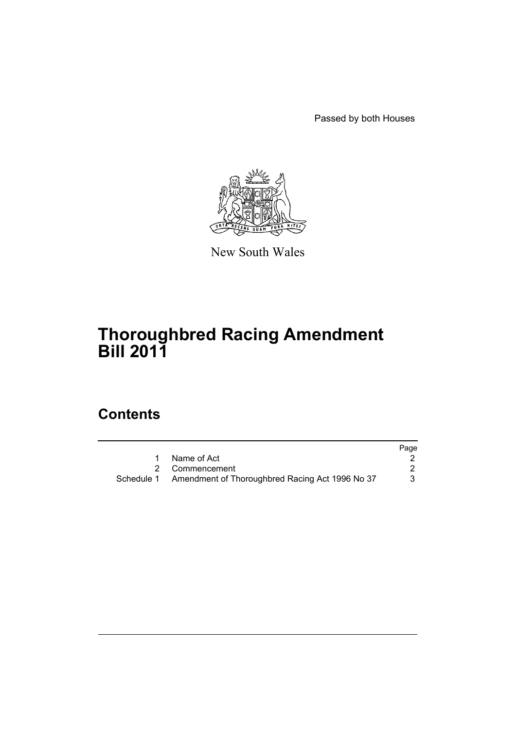Passed by both Houses



New South Wales

# **Thoroughbred Racing Amendment Bill 2011**

# **Contents**

|                                                            | Page |
|------------------------------------------------------------|------|
| 1 Name of Act                                              |      |
| 2 Commencement                                             |      |
| Schedule 1 Amendment of Thoroughbred Racing Act 1996 No 37 |      |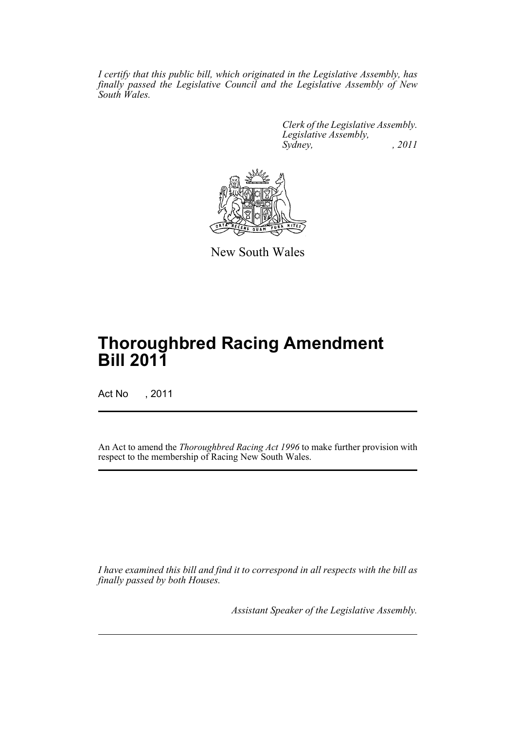*I certify that this public bill, which originated in the Legislative Assembly, has finally passed the Legislative Council and the Legislative Assembly of New South Wales.*

> *Clerk of the Legislative Assembly. Legislative Assembly, Sydney, , 2011*



New South Wales

# **Thoroughbred Racing Amendment Bill 2011**

Act No , 2011

An Act to amend the *Thoroughbred Racing Act 1996* to make further provision with respect to the membership of Racing New South Wales.

*I have examined this bill and find it to correspond in all respects with the bill as finally passed by both Houses.*

*Assistant Speaker of the Legislative Assembly.*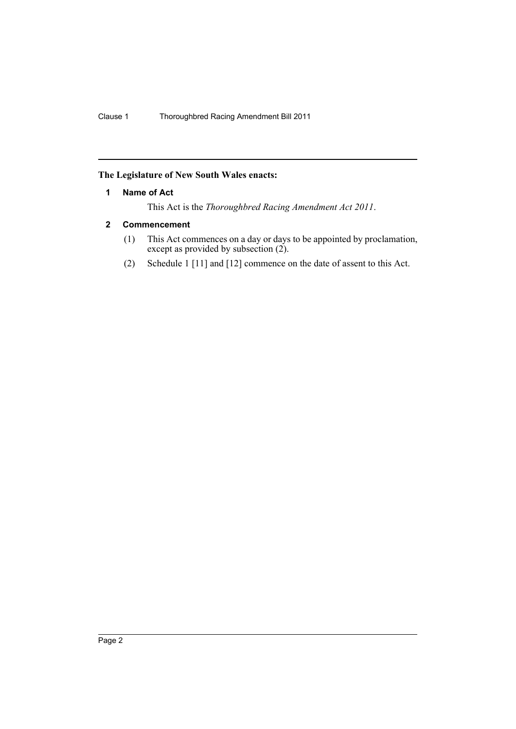# <span id="page-3-0"></span>**The Legislature of New South Wales enacts:**

### **1 Name of Act**

This Act is the *Thoroughbred Racing Amendment Act 2011*.

# <span id="page-3-1"></span>**2 Commencement**

- (1) This Act commences on a day or days to be appointed by proclamation, except as provided by subsection (2).
- (2) Schedule 1 [11] and [12] commence on the date of assent to this Act.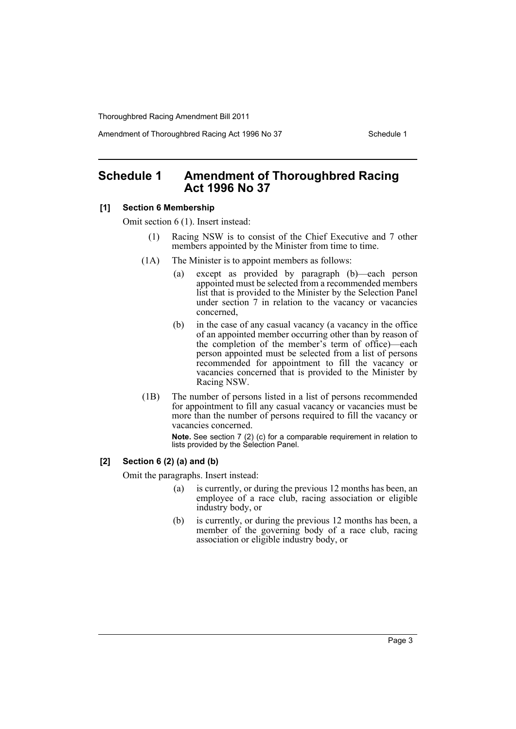Amendment of Thoroughbred Racing Act 1996 No 37 Schedule 1

# <span id="page-4-0"></span>**Schedule 1 Amendment of Thoroughbred Racing Act 1996 No 37**

#### **[1] Section 6 Membership**

Omit section 6 (1). Insert instead:

- (1) Racing NSW is to consist of the Chief Executive and 7 other members appointed by the Minister from time to time.
- (1A) The Minister is to appoint members as follows:
	- (a) except as provided by paragraph (b)—each person appointed must be selected from a recommended members list that is provided to the Minister by the Selection Panel under section 7 in relation to the vacancy or vacancies concerned,
	- (b) in the case of any casual vacancy (a vacancy in the office of an appointed member occurring other than by reason of the completion of the member's term of office)—each person appointed must be selected from a list of persons recommended for appointment to fill the vacancy or vacancies concerned that is provided to the Minister by Racing NSW.
- (1B) The number of persons listed in a list of persons recommended for appointment to fill any casual vacancy or vacancies must be more than the number of persons required to fill the vacancy or vacancies concerned.

**Note.** See section 7 (2) (c) for a comparable requirement in relation to lists provided by the Selection Panel.

# **[2] Section 6 (2) (a) and (b)**

Omit the paragraphs. Insert instead:

- (a) is currently, or during the previous 12 months has been, an employee of a race club, racing association or eligible industry body, or
- (b) is currently, or during the previous 12 months has been, a member of the governing body of a race club, racing association or eligible industry body, or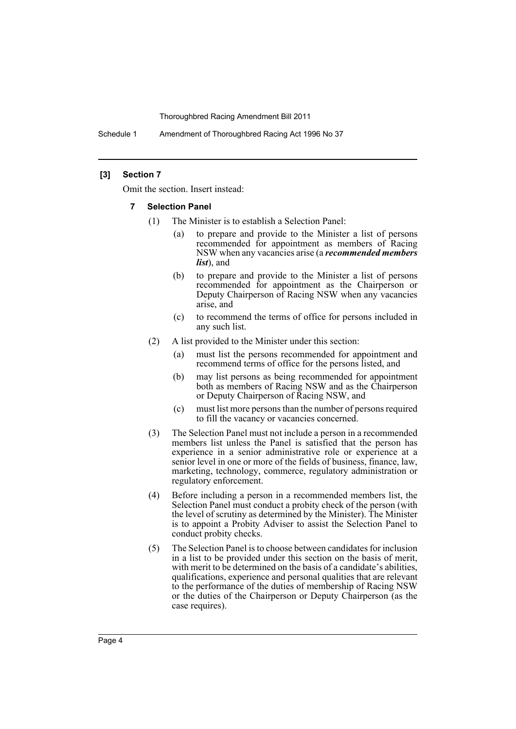Schedule 1 Amendment of Thoroughbred Racing Act 1996 No 37

#### **[3] Section 7**

Omit the section. Insert instead:

- **7 Selection Panel**
	- (1) The Minister is to establish a Selection Panel:
		- (a) to prepare and provide to the Minister a list of persons recommended for appointment as members of Racing NSW when any vacancies arise (a *recommended members list*), and
		- (b) to prepare and provide to the Minister a list of persons recommended for appointment as the Chairperson or Deputy Chairperson of Racing NSW when any vacancies arise, and
		- (c) to recommend the terms of office for persons included in any such list.
	- (2) A list provided to the Minister under this section:
		- (a) must list the persons recommended for appointment and recommend terms of office for the persons listed, and
		- (b) may list persons as being recommended for appointment both as members of Racing NSW and as the Chairperson or Deputy Chairperson of Racing NSW, and
		- (c) must list more persons than the number of persons required to fill the vacancy or vacancies concerned.
	- (3) The Selection Panel must not include a person in a recommended members list unless the Panel is satisfied that the person has experience in a senior administrative role or experience at a senior level in one or more of the fields of business, finance, law, marketing, technology, commerce, regulatory administration or regulatory enforcement.
	- (4) Before including a person in a recommended members list, the Selection Panel must conduct a probity check of the person (with the level of scrutiny as determined by the Minister). The Minister is to appoint a Probity Adviser to assist the Selection Panel to conduct probity checks.
	- (5) The Selection Panel is to choose between candidates for inclusion in a list to be provided under this section on the basis of merit, with merit to be determined on the basis of a candidate's abilities, qualifications, experience and personal qualities that are relevant to the performance of the duties of membership of Racing NSW or the duties of the Chairperson or Deputy Chairperson (as the case requires).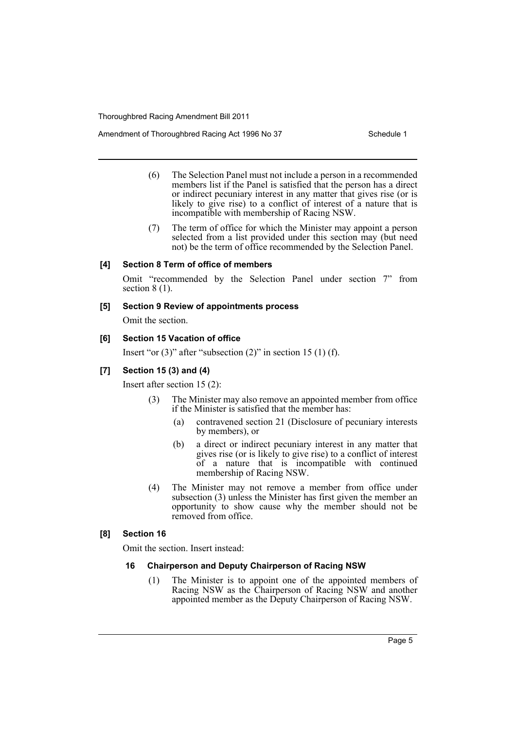Amendment of Thoroughbred Racing Act 1996 No 37 Schedule 1

- (6) The Selection Panel must not include a person in a recommended members list if the Panel is satisfied that the person has a direct or indirect pecuniary interest in any matter that gives rise (or is likely to give rise) to a conflict of interest of a nature that is incompatible with membership of Racing NSW.
- (7) The term of office for which the Minister may appoint a person selected from a list provided under this section may (but need not) be the term of office recommended by the Selection Panel.

### **[4] Section 8 Term of office of members**

Omit "recommended by the Selection Panel under section 7" from section  $8(1)$ .

#### **[5] Section 9 Review of appointments process**

Omit the section.

### **[6] Section 15 Vacation of office**

Insert "or  $(3)$ " after "subsection  $(2)$ " in section 15  $(1)$  (f).

# **[7] Section 15 (3) and (4)**

Insert after section 15 (2):

- (3) The Minister may also remove an appointed member from office if the Minister is satisfied that the member has:
	- (a) contravened section 21 (Disclosure of pecuniary interests by members), or
	- (b) a direct or indirect pecuniary interest in any matter that gives rise (or is likely to give rise) to a conflict of interest of a nature that is incompatible with continued membership of Racing NSW.
- (4) The Minister may not remove a member from office under subsection (3) unless the Minister has first given the member an opportunity to show cause why the member should not be removed from office.

## **[8] Section 16**

Omit the section. Insert instead:

#### **16 Chairperson and Deputy Chairperson of Racing NSW**

(1) The Minister is to appoint one of the appointed members of Racing NSW as the Chairperson of Racing NSW and another appointed member as the Deputy Chairperson of Racing NSW.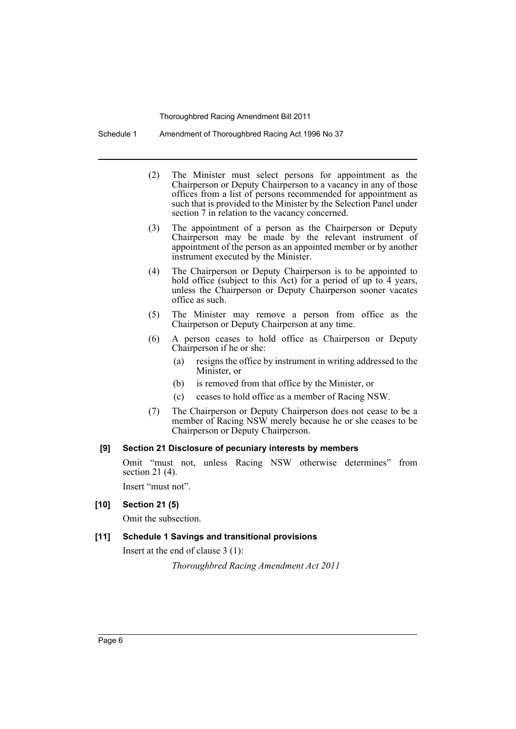Schedule 1 Amendment of Thoroughbred Racing Act 1996 No 37

- (2) The Minister must select persons for appointment as the Chairperson or Deputy Chairperson to a vacancy in any of those offices from a list of persons recommended for appointment as such that is provided to the Minister by the Selection Panel under section 7 in relation to the vacancy concerned.
- (3) The appointment of a person as the Chairperson or Deputy Chairperson may be made by the relevant instrument of appointment of the person as an appointed member or by another instrument executed by the Minister.
- (4) The Chairperson or Deputy Chairperson is to be appointed to hold office (subject to this Act) for a period of up to 4 years, unless the Chairperson or Deputy Chairperson sooner vacates office as such.
- (5) The Minister may remove a person from office as the Chairperson or Deputy Chairperson at any time.
- (6) A person ceases to hold office as Chairperson or Deputy Chairperson if he or she:
	- (a) resigns the office by instrument in writing addressed to the Minister, or
	- (b) is removed from that office by the Minister, or
	- (c) ceases to hold office as a member of Racing NSW.
- (7) The Chairperson or Deputy Chairperson does not cease to be a member of Racing NSW merely because he or she ceases to be Chairperson or Deputy Chairperson.

#### **[9] Section 21 Disclosure of pecuniary interests by members**

Omit "must not, unless Racing NSW otherwise determines" from section 21 (4).

Insert "must not".

# **[10] Section 21 (5)**

Omit the subsection.

# **[11] Schedule 1 Savings and transitional provisions**

Insert at the end of clause 3 (1):

*Thoroughbred Racing Amendment Act 2011*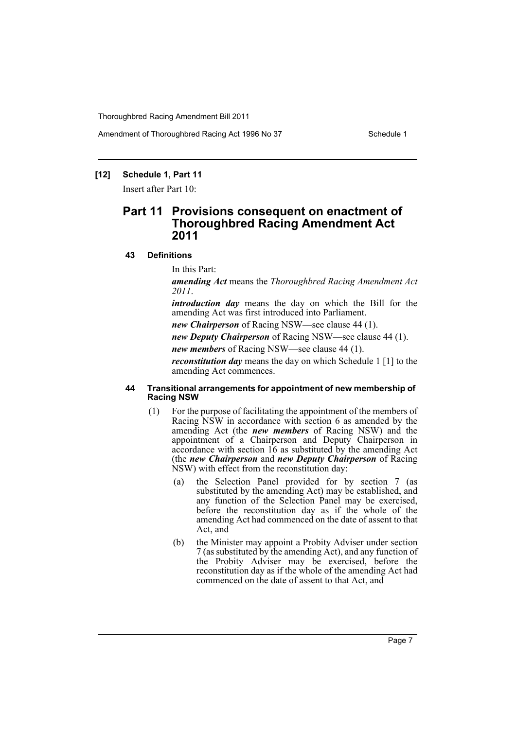Amendment of Thoroughbred Racing Act 1996 No 37 Schedule 1

# **[12] Schedule 1, Part 11**

Insert after Part 10:

# **Part 11 Provisions consequent on enactment of Thoroughbred Racing Amendment Act 2011**

#### **43 Definitions**

In this Part:

*amending Act* means the *Thoroughbred Racing Amendment Act 2011*.

*introduction day* means the day on which the Bill for the amending Act was first introduced into Parliament.

*new Chairperson* of Racing NSW—see clause 44 (1).

*new Deputy Chairperson* of Racing NSW—see clause 44 (1).

*new members* of Racing NSW—see clause 44 (1).

*reconstitution day* means the day on which Schedule 1 [1] to the amending Act commences.

#### **44 Transitional arrangements for appointment of new membership of Racing NSW**

- (1) For the purpose of facilitating the appointment of the members of Racing NSW in accordance with section 6 as amended by the amending Act (the *new members* of Racing NSW) and the appointment of a Chairperson and Deputy Chairperson in accordance with section 16 as substituted by the amending Act (the *new Chairperson* and *new Deputy Chairperson* of Racing NSW) with effect from the reconstitution day:
	- (a) the Selection Panel provided for by section 7 (as substituted by the amending Act) may be established, and any function of the Selection Panel may be exercised, before the reconstitution day as if the whole of the amending Act had commenced on the date of assent to that Act, and
	- (b) the Minister may appoint a Probity Adviser under section 7 (as substituted by the amending Act), and any function of the Probity Adviser may be exercised, before the reconstitution day as if the whole of the amending Act had commenced on the date of assent to that Act, and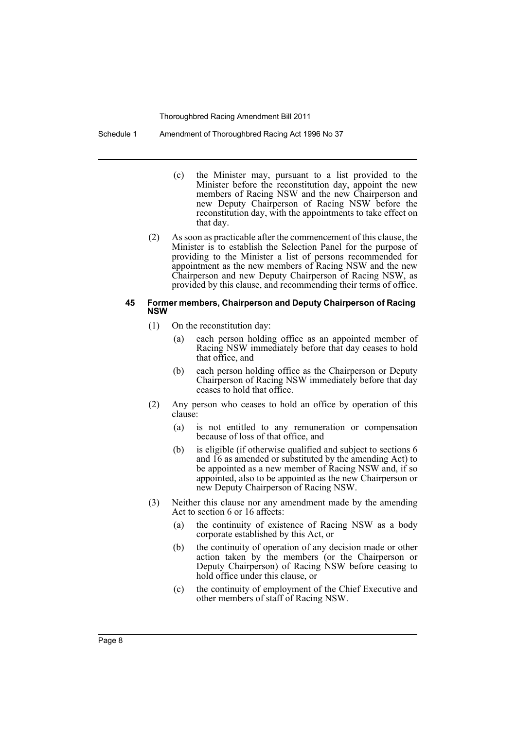Schedule 1 Amendment of Thoroughbred Racing Act 1996 No 37

- (c) the Minister may, pursuant to a list provided to the Minister before the reconstitution day, appoint the new members of Racing NSW and the new Chairperson and new Deputy Chairperson of Racing NSW before the reconstitution day, with the appointments to take effect on that day.
- (2) As soon as practicable after the commencement of this clause, the Minister is to establish the Selection Panel for the purpose of providing to the Minister a list of persons recommended for appointment as the new members of Racing NSW and the new Chairperson and new Deputy Chairperson of Racing NSW, as provided by this clause, and recommending their terms of office.

#### **45 Former members, Chairperson and Deputy Chairperson of Racing NSW**

- (1) On the reconstitution day:
	- (a) each person holding office as an appointed member of Racing NSW immediately before that day ceases to hold that office, and
	- (b) each person holding office as the Chairperson or Deputy Chairperson of Racing NSW immediately before that day ceases to hold that office.
- (2) Any person who ceases to hold an office by operation of this clause:
	- (a) is not entitled to any remuneration or compensation because of loss of that office, and
	- (b) is eligible (if otherwise qualified and subject to sections 6 and 16 as amended or substituted by the amending Act) to be appointed as a new member of Racing NSW and, if so appointed, also to be appointed as the new Chairperson or new Deputy Chairperson of Racing NSW.
- (3) Neither this clause nor any amendment made by the amending Act to section 6 or 16 affects:
	- (a) the continuity of existence of Racing NSW as a body corporate established by this Act, or
	- (b) the continuity of operation of any decision made or other action taken by the members (or the Chairperson or Deputy Chairperson) of Racing NSW before ceasing to hold office under this clause, or
	- (c) the continuity of employment of the Chief Executive and other members of staff of Racing NSW.